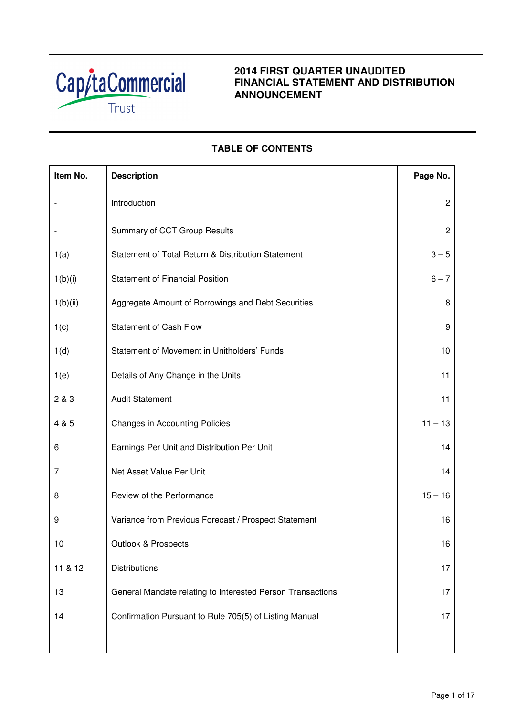

# **2014 FIRST QUARTER UNAUDITED FINANCIAL STATEMENT AND DISTRIBUTION ANNOUNCEMENT**

# **TABLE OF CONTENTS**

| Item No. | <b>Description</b>                                         | Page No.       |
|----------|------------------------------------------------------------|----------------|
|          | Introduction                                               | $\overline{c}$ |
|          | Summary of CCT Group Results                               | $\overline{c}$ |
| 1(a)     | Statement of Total Return & Distribution Statement         | $3 - 5$        |
| 1(b)(i)  | <b>Statement of Financial Position</b>                     | $6 - 7$        |
| 1(b)(ii) | Aggregate Amount of Borrowings and Debt Securities         | 8              |
| 1(c)     | <b>Statement of Cash Flow</b>                              | 9              |
| 1(d)     | Statement of Movement in Unitholders' Funds                | 10             |
| 1(e)     | Details of Any Change in the Units                         | 11             |
| 2 & 3    | <b>Audit Statement</b>                                     | 11             |
| 4 & 5    | <b>Changes in Accounting Policies</b>                      | $11 - 13$      |
| 6        | Earnings Per Unit and Distribution Per Unit                | 14             |
| 7        | Net Asset Value Per Unit                                   | 14             |
| 8        | Review of the Performance                                  | $15 - 16$      |
| 9        | Variance from Previous Forecast / Prospect Statement       | 16             |
| 10       | Outlook & Prospects                                        | 16             |
| 11 & 12  | <b>Distributions</b>                                       | 17             |
| 13       | General Mandate relating to Interested Person Transactions | 17             |
| 14       | Confirmation Pursuant to Rule 705(5) of Listing Manual     | 17             |
|          |                                                            |                |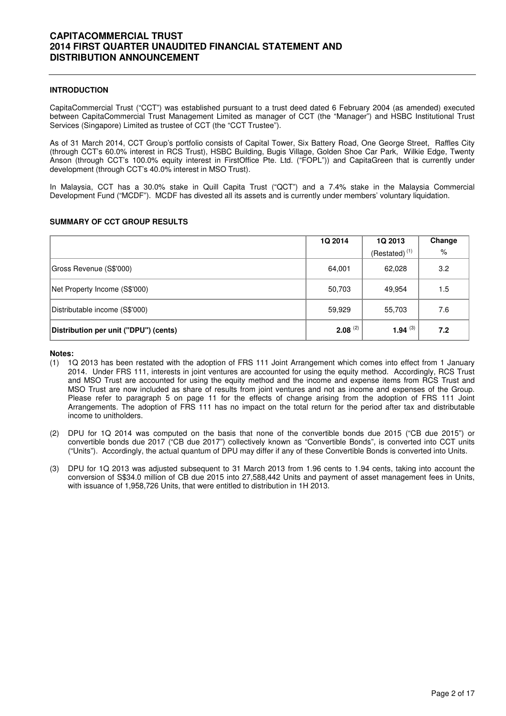### **INTRODUCTION**

CapitaCommercial Trust ("CCT") was established pursuant to a trust deed dated 6 February 2004 (as amended) executed between CapitaCommercial Trust Management Limited as manager of CCT (the "Manager") and HSBC Institutional Trust Services (Singapore) Limited as trustee of CCT (the "CCT Trustee").

As of 31 March 2014, CCT Group's portfolio consists of Capital Tower, Six Battery Road, One George Street, Raffles City (through CCT's 60.0% interest in RCS Trust), HSBC Building, Bugis Village, Golden Shoe Car Park, Wilkie Edge, Twenty Anson (through CCT's 100.0% equity interest in FirstOffice Pte. Ltd. ("FOPL")) and CapitaGreen that is currently under development (through CCT's 40.0% interest in MSO Trust).

In Malaysia, CCT has a 30.0% stake in Quill Capita Trust ("QCT") and a 7.4% stake in the Malaysia Commercial Development Fund ("MCDF"). MCDF has divested all its assets and is currently under members' voluntary liquidation.

### **SUMMARY OF CCT GROUP RESULTS**

|                                       | 1Q 2014      | 1Q 2013            | Change |
|---------------------------------------|--------------|--------------------|--------|
|                                       |              | $(Restated)^{(1)}$ | %      |
| Gross Revenue (S\$'000)               | 64,001       | 62,028             | 3.2    |
| Net Property Income (S\$'000)         | 50,703       | 49,954             | 1.5    |
| Distributable income (S\$'000)        | 59,929       | 55,703             | 7.6    |
| Distribution per unit ("DPU") (cents) | $2.08^{(2)}$ | 1.94 $(3)$         | 7.2    |

### **Notes:**

- (1) 1Q 2013 has been restated with the adoption of FRS 111 Joint Arrangement which comes into effect from 1 January 2014. Under FRS 111, interests in joint ventures are accounted for using the equity method. Accordingly, RCS Trust and MSO Trust are accounted for using the equity method and the income and expense items from RCS Trust and MSO Trust are now included as share of results from joint ventures and not as income and expenses of the Group. Please refer to paragraph 5 on page 11 for the effects of change arising from the adoption of FRS 111 Joint Arrangements. The adoption of FRS 111 has no impact on the total return for the period after tax and distributable income to unitholders.
- (2) DPU for 1Q 2014 was computed on the basis that none of the convertible bonds due 2015 ("CB due 2015") or convertible bonds due 2017 ("CB due 2017") collectively known as "Convertible Bonds", is converted into CCT units ("Units"). Accordingly, the actual quantum of DPU may differ if any of these Convertible Bonds is converted into Units.
- (3) DPU for 1Q 2013 was adjusted subsequent to 31 March 2013 from 1.96 cents to 1.94 cents, taking into account the conversion of S\$34.0 million of CB due 2015 into 27,588,442 Units and payment of asset management fees in Units, with issuance of 1,958,726 Units, that were entitled to distribution in 1H 2013.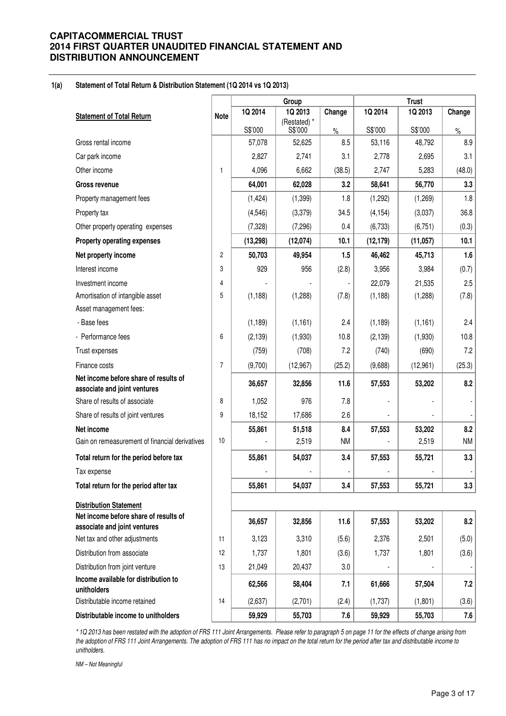#### **1(a) Statement of Total Return & Distribution Statement (1Q 2014 vs 1Q 2013)**

|                                                                       |                |           | Group                   |           | <b>Trust</b> |           |                |  |
|-----------------------------------------------------------------------|----------------|-----------|-------------------------|-----------|--------------|-----------|----------------|--|
| <b>Statement of Total Return</b>                                      | <b>Note</b>    | 1Q 2014   | 1Q 2013                 | Change    | 1Q 2014      | 1Q 2013   | Change         |  |
|                                                                       |                | S\$'000   | (Restated) *<br>S\$'000 | $\%$      | S\$'000      | S\$'000   | $\%$           |  |
| Gross rental income                                                   |                | 57,078    | 52,625                  | 8.5       | 53,116       | 48,792    | 8.9            |  |
| Car park income                                                       |                | 2,827     | 2,741                   | 3.1       | 2,778        | 2,695     | 3.1            |  |
| Other income                                                          | 1              | 4,096     | 6,662                   | (38.5)    | 2,747        | 5,283     | (48.0)         |  |
| <b>Gross revenue</b>                                                  |                | 64,001    | 62,028                  | 3.2       | 58,641       | 56,770    | 3.3            |  |
| Property management fees                                              |                | (1, 424)  | (1, 399)                | 1.8       | (1,292)      | (1,269)   | 1.8            |  |
| Property tax                                                          |                | (4, 546)  | (3,379)                 | 34.5      | (4, 154)     | (3,037)   | 36.8           |  |
| Other property operating expenses                                     |                | (7, 328)  | (7, 296)                | 0.4       | (6, 733)     | (6, 751)  | (0.3)          |  |
| <b>Property operating expenses</b>                                    |                | (13, 298) | (12,074)                | 10.1      | (12, 179)    | (11, 057) | 10.1           |  |
| Net property income                                                   | $\overline{c}$ | 50,703    | 49,954                  | 1.5       | 46,462       | 45,713    | 1.6            |  |
| Interest income                                                       | 3              | 929       | 956                     | (2.8)     | 3,956        | 3,984     | (0.7)          |  |
| Investment income                                                     | 4              |           |                         |           | 22,079       | 21,535    | 2.5            |  |
| Amortisation of intangible asset                                      | 5              | (1, 188)  | (1,288)                 | (7.8)     | (1, 188)     | (1,288)   | (7.8)          |  |
| Asset management fees:                                                |                |           |                         |           |              |           |                |  |
| - Base fees                                                           |                | (1, 189)  | (1, 161)                | 2.4       | (1, 189)     | (1, 161)  | 2.4            |  |
| - Performance fees                                                    | 6              | (2, 139)  | (1,930)                 | 10.8      | (2, 139)     | (1,930)   | 10.8           |  |
| Trust expenses                                                        |                | (759)     | (708)                   | 7.2       | (740)        | (690)     | 7.2            |  |
| Finance costs                                                         | $\overline{7}$ | (9,700)   | (12,967)                | (25.2)    | (9,688)      | (12,961)  | (25.3)         |  |
| Net income before share of results of<br>associate and joint ventures |                | 36,657    | 32,856                  | 11.6      | 57,553       | 53,202    | 8.2            |  |
| Share of results of associate                                         | 8              | 1,052     | 976                     | 7.8       |              |           |                |  |
| Share of results of joint ventures                                    | 9              | 18,152    | 17,686                  | 2.6       |              |           | $\blacksquare$ |  |
| Net income                                                            |                | 55,861    | 51,518                  | 8.4       | 57,553       | 53,202    | 8.2            |  |
| Gain on remeasurement of financial derivatives                        | 10             |           | 2,519                   | <b>NM</b> |              | 2,519     | <b>NM</b>      |  |
| Total return for the period before tax                                |                | 55,861    | 54,037                  | 3.4       | 57,553       | 55,721    | 3.3            |  |
| Tax expense                                                           |                |           |                         |           |              |           |                |  |
| Total return for the period after tax                                 |                | 55,861    | 54,037                  | 3.4       | 57,553       | 55,721    | 3.3            |  |
| <b>Distribution Statement</b>                                         |                |           |                         |           |              |           |                |  |
| Net income before share of results of<br>associate and joint ventures |                | 36,657    | 32,856                  | 11.6      | 57,553       | 53,202    | 8.2            |  |
| Net tax and other adjustments                                         | 11             | 3,123     | 3,310                   | (5.6)     | 2,376        | 2,501     | (5.0)          |  |
| Distribution from associate                                           | 12             | 1,737     | 1,801                   | (3.6)     | 1,737        | 1,801     | (3.6)          |  |
| Distribution from joint venture                                       | 13             | 21,049    | 20,437                  | 3.0       |              |           |                |  |
| Income available for distribution to<br>unitholders                   |                | 62,566    | 58,404                  | 7.1       | 61,666       | 57,504    | 7.2            |  |
| Distributable income retained                                         | 14             | (2,637)   | (2,701)                 | (2.4)     | (1,737)      | (1,801)   | (3.6)          |  |
| Distributable income to unitholders                                   |                | 59,929    | 55,703                  | 7.6       | 59,929       | 55,703    | 7.6            |  |

\* 1Q 2013 has been restated with the adoption of FRS 111 Joint Arrangements. Please refer to paragraph 5 on page 11 for the effects of change arising from the adoption of FRS 111 Joint Arrangements. The adoption of FRS 111 has no impact on the total return for the period after tax and distributable income to unitholders.

NM – Not Meaningful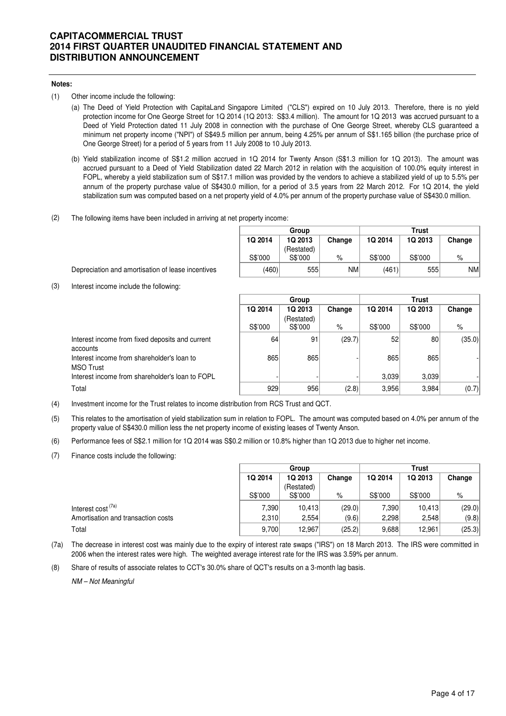### **Notes:**

- (1) Other income include the following:
	- (a) The Deed of Yield Protection with CapitaLand Singapore Limited ("CLS") expired on 10 July 2013. Therefore, there is no yield protection income for One George Street for 1Q 2014 (1Q 2013: S\$3.4 million). The amount for 1Q 2013 was accrued pursuant to a Deed of Yield Protection dated 11 July 2008 in connection with the purchase of One George Street, whereby CLS guaranteed a minimum net property income ("NPI") of S\$49.5 million per annum, being 4.25% per annum of S\$1.165 billion (the purchase price of One George Street) for a period of 5 years from 11 July 2008 to 10 July 2013.
	- (b) Yield stabilization income of S\$1.2 million accrued in 1Q 2014 for Twenty Anson (S\$1.3 million for 1Q 2013). The amount was accrued pursuant to a Deed of Yield Stabilization dated 22 March 2012 in relation with the acquisition of 100.0% equity interest in FOPL, whereby a yield stabilization sum of S\$17.1 million was provided by the vendors to achieve a stabilized yield of up to 5.5% per annum of the property purchase value of S\$430.0 million, for a period of 3.5 years from 22 March 2012. For 1Q 2014, the yield stabilization sum was computed based on a net property yield of 4.0% per annum of the property purchase value of S\$430.0 million.
- (2) The following items have been included in arriving at net property income:

| Group   |            |        |         | <b>Trust</b> |           |
|---------|------------|--------|---------|--------------|-----------|
| 1Q 2014 | 1Q 2013    | Change | 1Q 2014 | 1Q 2013      | Change    |
|         | (Restated) |        |         |              |           |
| S\$'000 | S\$'000    | %      | S\$'000 | S\$'000      | $\%$      |
| (460)   | 555        | NM     | (461)   | 555          | <b>NM</b> |

Depreciation and amortisation of lease incentives

(3) Interest income include the following:

|                                                                | Group   |            |        | Trust   |         |        |  |
|----------------------------------------------------------------|---------|------------|--------|---------|---------|--------|--|
|                                                                | 1Q 2014 | 1Q 2013    | Change | 1Q 2014 | 1Q 2013 | Change |  |
|                                                                |         | (Restated) |        |         |         |        |  |
|                                                                | S\$'000 | S\$'000    | %      | S\$'000 | S\$'000 | %      |  |
| Interest income from fixed deposits and current<br>accounts    | 64      | 91         | (29.7) | 52      | 80      | (35.0) |  |
| Interest income from shareholder's loan to<br><b>MSO Trust</b> | 865     | 865        |        | 865     | 865     |        |  |
| Interest income from shareholder's loan to FOPL                |         |            |        | 3,039   | 3,039   |        |  |
| Total                                                          | 929     | 956        | (2.8)  | 3,956   | 3,984   | (0.7)  |  |

- (4) Investment income for the Trust relates to income distribution from RCS Trust and QCT.
- (5) This relates to the amortisation of yield stabilization sum in relation to FOPL. The amount was computed based on 4.0% per annum of the property value of S\$430.0 million less the net property income of existing leases of Twenty Anson.
- (6) Performance fees of S\$2.1 million for 1Q 2014 was S\$0.2 million or 10.8% higher than 1Q 2013 due to higher net income.
- (7) Finance costs include the following:

|                                    | Group   |            |        | Trust   |         |        |  |
|------------------------------------|---------|------------|--------|---------|---------|--------|--|
|                                    | 1Q 2014 | 1Q 2013    | Change | 1Q 2014 | 1Q 2013 | Change |  |
|                                    |         | (Restated) |        |         |         |        |  |
|                                    | S\$'000 | S\$'000    | %      | S\$'000 | S\$'000 | %      |  |
| Interest cost (7a)                 | 7.390   | 10.413     | (29.0) | 7,390   | 10.413  | (29.0) |  |
| Amortisation and transaction costs | 2.310   | 2,554      | (9.6)  | 2,298   | 2,548   | (9.8)  |  |
| Total                              | 9,700   | 12,967     | (25.2) | 9,688   | 12,961  | (25.3) |  |

- (7a) The decrease in interest cost was mainly due to the expiry of interest rate swaps ("IRS") on 18 March 2013. The IRS were committed in 2006 when the interest rates were high. The weighted average interest rate for the IRS was 3.59% per annum.
- (8) Share of results of associate relates to CCT's 30.0% share of QCT's results on a 3-month lag basis.

NM – Not Meaningful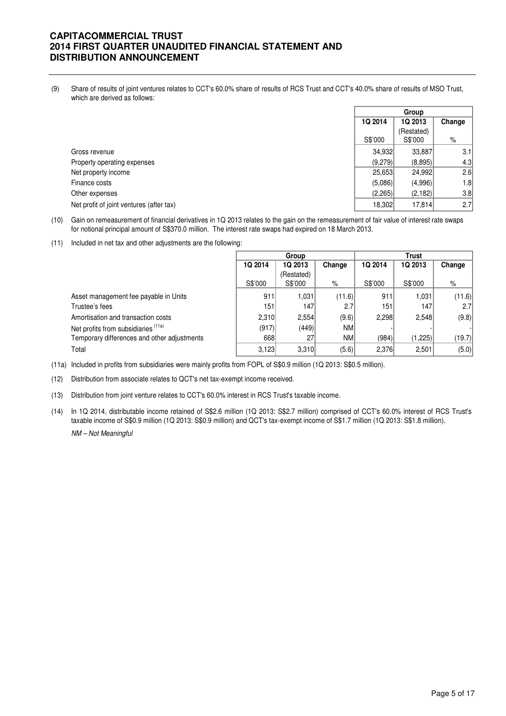(9) Share of results of joint ventures relates to CCT's 60.0% share of results of RCS Trust and CCT's 40.0% share of results of MSO Trust, which are derived as follows:

|                                          | Group   |                       |        |
|------------------------------------------|---------|-----------------------|--------|
|                                          | 1Q 2014 | 1Q 2013               | Change |
|                                          | S\$'000 | (Restated)<br>S\$'000 | %      |
| Gross revenue                            | 34,932  | 33,887                | 3.1    |
| Property operating expenses              | (9,279) | (8,895)               | 4.3    |
| Net property income                      | 25,653  | 24,992                | 2.6    |
| Finance costs                            | (5,086) | (4,996)               | 1.8    |
| Other expenses                           | (2,265) | (2, 182)              | 3.8    |
| Net profit of joint ventures (after tax) | 18,302  | 17,814                | 2.7    |

(10) Gain on remeasurement of financial derivatives in 1Q 2013 relates to the gain on the remeasurement of fair value of interest rate swaps for notional principal amount of S\$370.0 million. The interest rate swaps had expired on 18 March 2013.

(11) Included in net tax and other adjustments are the following:

|                                             | Group   |            |           | Trust   |         |        |  |
|---------------------------------------------|---------|------------|-----------|---------|---------|--------|--|
|                                             | 1Q 2014 | 1Q 2013    | Change    | 1Q 2014 | 1Q 2013 | Change |  |
|                                             |         | (Restated) |           |         |         |        |  |
|                                             | S\$'000 | S\$'000    | $\%$      | S\$'000 | S\$'000 | $\%$   |  |
| Asset management fee payable in Units       | 911     | 1,031      | (11.6)    | 911     | 1.031   | (11.6) |  |
| Trustee's fees                              | 151     | 147        | 2.7       | 151     | 147     | 2.7    |  |
| Amortisation and transaction costs          | 2,310   | 2,554      | (9.6)     | 2.298   | 2,548   | (9.8)  |  |
| Net profits from subsidiaries (11a)         | (917)   | (449)      | <b>NM</b> |         |         |        |  |
| Temporary differences and other adjustments | 668     | 27         | <b>NM</b> | (984)   | (1,225) | (19.7) |  |
| Total                                       | 3,123   | 3,310      | (5.6)     | 2,376   | 2,501   | (5.0)  |  |

(11a) Included in profits from subsidiaries were mainly profits from FOPL of S\$0.9 million (1Q 2013: S\$0.5 million).

(12) Distribution from associate relates to QCT's net tax-exempt income received.

- (13) Distribution from joint venture relates to CCT's 60.0% interest in RCS Trust's taxable income.
- (14) In 1Q 2014, distributable income retained of S\$2.6 million (1Q 2013: S\$2.7 million) comprised of CCT's 60.0% interest of RCS Trust's NM – Not Meaningful taxable income of S\$0.9 million (1Q 2013: S\$0.9 million) and QCT's tax-exempt income of S\$1.7 million (1Q 2013: S\$1.8 million).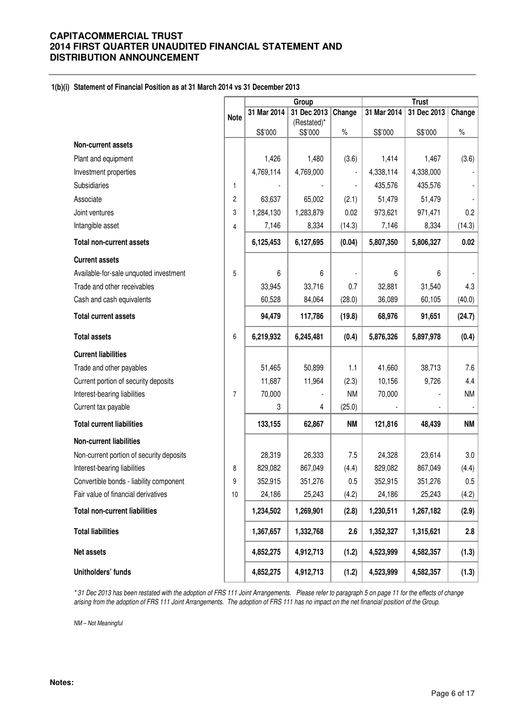### **1(b)(i) Statement of Financial Position as at 31 March 2014 vs 31 December 2013**

|                                          |                | Group       |                        |           | <b>Trust</b> |             |           |
|------------------------------------------|----------------|-------------|------------------------|-----------|--------------|-------------|-----------|
|                                          | <b>Note</b>    | 31 Mar 2014 | 31 Dec 2013            | Change    | 31 Mar 2014  | 31 Dec 2013 | Change    |
|                                          |                | S\$'000     | (Restated)*<br>S\$'000 | $\%$      | S\$'000      | S\$'000     | $\%$      |
| Non-current assets                       |                |             |                        |           |              |             |           |
| Plant and equipment                      |                | 1,426       | 1,480                  | (3.6)     | 1,414        | 1,467       | (3.6)     |
| Investment properties                    |                | 4,769,114   | 4,769,000              |           | 4,338,114    | 4,338,000   |           |
| Subsidiaries                             | 1              |             |                        |           | 435,576      | 435,576     |           |
| Associate                                | $\overline{c}$ | 63,637      | 65,002                 | (2.1)     | 51,479       | 51,479      |           |
| Joint ventures                           | 3              | 1,284,130   | 1,283,879              | 0.02      | 973,621      | 971,471     | 0.2       |
| Intangible asset                         | 4              | 7,146       | 8,334                  | (14.3)    | 7,146        | 8,334       | (14.3)    |
| <b>Total non-current assets</b>          |                | 6,125,453   | 6,127,695              | (0.04)    | 5,807,350    | 5,806,327   | 0.02      |
| <b>Current assets</b>                    |                |             |                        |           |              |             |           |
| Available-for-sale unquoted investment   | 5              | 6           | 6                      |           | 6            | 6           |           |
| Trade and other receivables              |                | 33,945      | 33,716                 | 0.7       | 32,881       | 31,540      | 4.3       |
| Cash and cash equivalents                |                | 60,528      | 84,064                 | (28.0)    | 36,089       | 60,105      | (40.0)    |
| <b>Total current assets</b>              |                | 94,479      | 117,786                | (19.8)    | 68,976       | 91,651      | (24.7)    |
| <b>Total assets</b>                      | 6              | 6,219,932   | 6,245,481              | (0.4)     | 5,876,326    | 5,897,978   | (0.4)     |
| <b>Current liabilities</b>               |                |             |                        |           |              |             |           |
| Trade and other payables                 |                | 51,465      | 50,899                 | 1.1       | 41,660       | 38,713      | 7.6       |
| Current portion of security deposits     |                | 11,687      | 11,964                 | (2.3)     | 10,156       | 9,726       | 4.4       |
| Interest-bearing liabilities             | $\overline{7}$ | 70,000      |                        | <b>NM</b> | 70,000       |             | <b>NM</b> |
| Current tax payable                      |                | 3           | 4                      | (25.0)    |              |             |           |
| <b>Total current liabilities</b>         |                | 133,155     | 62,867                 | <b>NM</b> | 121,816      | 48,439      | <b>NM</b> |
| <b>Non-current liabilities</b>           |                |             |                        |           |              |             |           |
| Non-current portion of security deposits |                | 28,319      | 26,333                 | 7.5       | 24,328       | 23,614      | 3.0       |
| Interest-bearing liabilities             | 8              | 829,082     | 867,049                | (4.4)     | 829,082      | 867,049     | (4.4)     |
| Convertible bonds - liability component  | 9              | 352,915     | 351,276                | 0.5       | 352,915      | 351,276     | 0.5       |
| Fair value of financial derivatives      | 10             | 24,186      | 25,243                 | (4.2)     | 24,186       | 25,243      | (4.2)     |
| <b>Total non-current liabilities</b>     |                | 1,234,502   | 1,269,901              | (2.8)     | 1,230,511    | 1,267,182   | (2.9)     |
| <b>Total liabilities</b>                 |                | 1,367,657   | 1,332,768              | 2.6       | 1,352,327    | 1,315,621   | 2.8       |
| Net assets                               |                | 4,852,275   | 4,912,713              | (1.2)     | 4,523,999    | 4,582,357   | (1.3)     |
| Unitholders' funds                       |                | 4,852,275   | 4,912,713              | (1.2)     | 4,523,999    | 4,582,357   | (1.3)     |

\* 31 Dec 2013 has been restated with the adoption of FRS 111 Joint Arrangements. Please refer to paragraph 5 on page 11 for the effects of change arising from the adoption of FRS 111 Joint Arrangements. The adoption of FRS 111 has no impact on the net financial position of the Group.

NM – Not Meaningful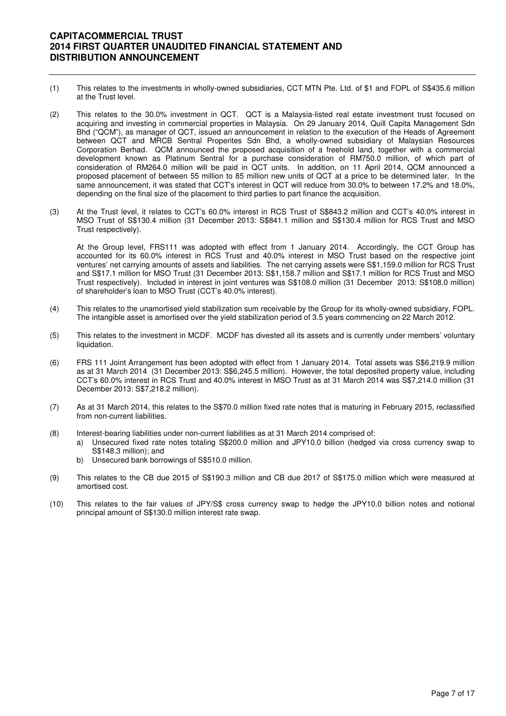- (1) This relates to the investments in wholly-owned subsidiaries, CCT MTN Pte. Ltd. of \$1 and FOPL of S\$435.6 million at the Trust level.
- (2) This relates to the 30.0% investment in QCT. QCT is a Malaysia-listed real estate investment trust focused on acquiring and investing in commercial properties in Malaysia. On 29 January 2014, Quill Capita Management Sdn Bhd ("QCM"), as manager of QCT, issued an announcement in relation to the execution of the Heads of Agreement between QCT and MRCB Sentral Properites Sdn Bhd, a wholly-owned subsidiary of Malaysian Resources Corporation Berhad. QCM announced the proposed acquisition of a freehold land, together with a commercial development known as Platinum Sentral for a purchase consideration of RM750.0 million, of which part of consideration of RM264.0 million will be paid in QCT units. In addition, on 11 April 2014, QCM announced a proposed placement of between 55 million to 85 million new units of QCT at a price to be determined later. In the same announcement, it was stated that CCT's interest in QCT will reduce from 30.0% to between 17.2% and 18.0%, depending on the final size of the placement to third parties to part finance the acquisition.
- (3) At the Trust level, it relates to CCT's 60.0% interest in RCS Trust of S\$843.2 million and CCT's 40.0% interest in MSO Trust of S\$130.4 million (31 December 2013: S\$841.1 million and S\$130.4 million for RCS Trust and MSO Trust respectively).

At the Group level, FRS111 was adopted with effect from 1 January 2014. Accordingly, the CCT Group has accounted for its 60.0% interest in RCS Trust and 40.0% interest in MSO Trust based on the respective joint ventures' net carrying amounts of assets and liabilities. The net carrying assets were S\$1,159.0 million for RCS Trust and S\$17.1 million for MSO Trust (31 December 2013: S\$1,158.7 million and S\$17.1 million for RCS Trust and MSO Trust respectively). Included in interest in joint ventures was S\$108.0 million (31 December 2013: S\$108.0 million) of shareholder's loan to MSO Trust (CCT's 40.0% interest).

- (4) This relates to the unamortised yield stabilization sum receivable by the Group for its wholly-owned subsidiary, FOPL. The intangible asset is amortised over the yield stabilization period of 3.5 years commencing on 22 March 2012.
- (5) This relates to the investment in MCDF. MCDF has divested all its assets and is currently under members' voluntary liquidation.
- (6) FRS 111 Joint Arrangement has been adopted with effect from 1 January 2014. Total assets was S\$6,219.9 million as at 31 March 2014 (31 December 2013: S\$6,245.5 million). However, the total deposited property value, including CCT's 60.0% interest in RCS Trust and 40.0% interest in MSO Trust as at 31 March 2014 was S\$7,214.0 million (31 December 2013: S\$7,218.2 million).
- (7) As at 31 March 2014, this relates to the S\$70.0 million fixed rate notes that is maturing in February 2015, reclassified from non-current liabilities.
- (8) Interest-bearing liabilities under non-current liabilities as at 31 March 2014 comprised of:
	- a) Unsecured fixed rate notes totaling S\$200.0 million and JPY10.0 billion (hedged via cross currency swap to S\$148.3 million); and
	- b) Unsecured bank borrowings of S\$510.0 million.
- (9) This relates to the CB due 2015 of S\$190.3 million and CB due 2017 of S\$175.0 million which were measured at amortised cost.
- (10) This relates to the fair values of JPY/S\$ cross currency swap to hedge the JPY10.0 billion notes and notional principal amount of S\$130.0 million interest rate swap.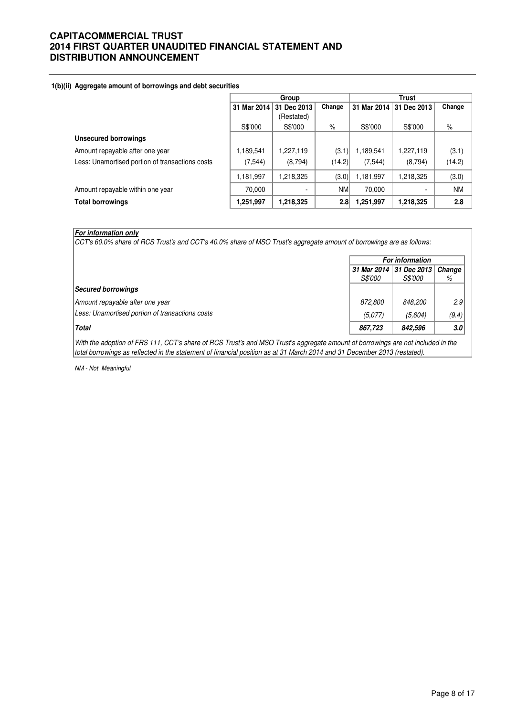#### **1(b)(ii) Aggregate amount of borrowings and debt securities**

|                                                 | Group       |             |           | Trust       |             |           |
|-------------------------------------------------|-------------|-------------|-----------|-------------|-------------|-----------|
|                                                 | 31 Mar 2014 | 31 Dec 2013 | Change    | 31 Mar 2014 | 31 Dec 2013 | Change    |
|                                                 |             | (Restated)  |           |             |             |           |
|                                                 | S\$'000     | S\$'000     | $\%$      | S\$'000     | S\$'000     | $\%$      |
| <b>Unsecured borrowings</b>                     |             |             |           |             |             |           |
| Amount repayable after one year                 | 1,189,541   | 1,227,119   | (3.1)     | 1,189,541   | 1,227,119   | (3.1)     |
| Less: Unamortised portion of transactions costs | (7, 544)    | (8,794)     | (14.2)    | (7, 544)    | (8,794)     | (14.2)    |
|                                                 | 1,181,997   | 1,218,325   | (3.0)     | 1,181,997   | 1,218,325   | (3.0)     |
| Amount repayable within one year                | 70,000      |             | <b>NM</b> | 70,000      |             | <b>NM</b> |
| <b>Total borrowings</b>                         | 1,251,997   | 1,218,325   | 2.8       | ,251,997    | 1,218,325   | 2.8       |

### **For information only**

CCT's 60.0% share of RCS Trust's and CCT's 40.0% share of MSO Trust's aggregate amount of borrowings are as follows:

| <b>For information</b> |                |                         |  |
|------------------------|----------------|-------------------------|--|
|                        |                | Change                  |  |
| <i>S\$'000</i>         | <i>S\$'000</i> | %                       |  |
|                        |                |                         |  |
| <i>872.800</i>         | 848.200        | 2.9                     |  |
| (5,077)                | (5,604)        | (9.4)                   |  |
| 867,723                | 842,596        | 3.0                     |  |
|                        |                | 31 Mar 2014 31 Dec 2013 |  |

With the adoption of FRS 111, CCT's share of RCS Trust's and MSO Trust's aggregate amount of borrowings are not included in the total borrowings as reflected in the statement of financial position as at 31 March 2014 and 31 December 2013 (restated).

NM - Not Meaningful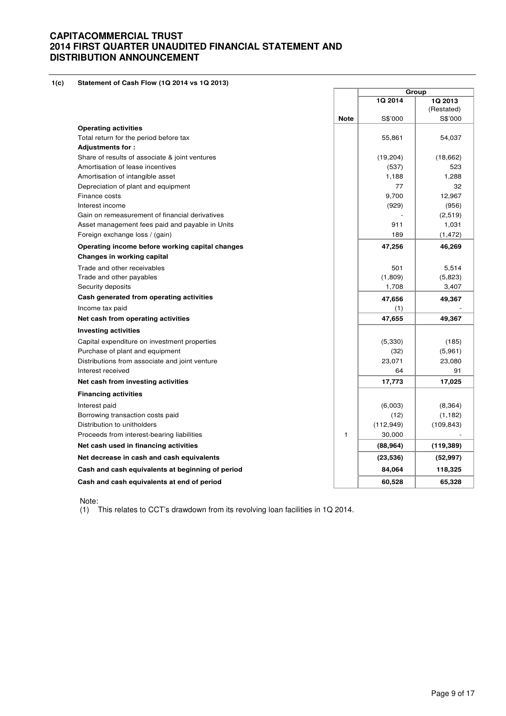**1(c) Statement of Cash Flow (1Q 2014 vs 1Q 2013)** 

|                                                  |             |            | Group      |
|--------------------------------------------------|-------------|------------|------------|
|                                                  |             | 1Q 2014    | 1Q 2013    |
|                                                  |             |            | (Restated) |
|                                                  | <b>Note</b> | S\$'000    | S\$'000    |
| <b>Operating activities</b>                      |             |            |            |
| Total return for the period before tax           |             | 55,861     | 54,037     |
| Adjustments for:                                 |             |            |            |
| Share of results of associate & joint ventures   |             | (19, 204)  | (18,662)   |
| Amortisation of lease incentives                 |             | (537)      | 523        |
| Amortisation of intangible asset                 |             | 1,188      | 1,288      |
| Depreciation of plant and equipment              |             | 77         | 32         |
| Finance costs                                    |             | 9,700      | 12,967     |
| Interest income                                  |             | (929)      | (956)      |
| Gain on remeasurement of financial derivatives   |             |            | (2,519)    |
| Asset management fees paid and payable in Units  |             | 911        | 1,031      |
| Foreign exchange loss / (gain)                   |             | 189        | (1, 472)   |
| Operating income before working capital changes  |             | 47,256     | 46,269     |
| Changes in working capital                       |             |            |            |
| Trade and other receivables                      |             | 501        | 5,514      |
| Trade and other payables                         |             | (1,809)    | (5,823)    |
| Security deposits                                |             | 1,708      | 3,407      |
| Cash generated from operating activities         |             | 47,656     | 49,367     |
| Income tax paid                                  |             | (1)        |            |
| Net cash from operating activities               |             | 47,655     | 49,367     |
| <b>Investing activities</b>                      |             |            |            |
| Capital expenditure on investment properties     |             | (5,330)    | (185)      |
| Purchase of plant and equipment                  |             | (32)       | (5,961)    |
| Distributions from associate and joint venture   |             | 23,071     | 23,080     |
| Interest received                                |             | 64         | 91         |
| Net cash from investing activities               |             | 17,773     | 17,025     |
| <b>Financing activities</b>                      |             |            |            |
| Interest paid                                    |             | (6,003)    | (8, 364)   |
| Borrowing transaction costs paid                 |             | (12)       | (1, 182)   |
| Distribution to unitholders                      |             | (112, 949) | (109, 843) |
| Proceeds from interest-bearing liabilities       | 1           | 30,000     |            |
| Net cash used in financing activities            |             | (88, 964)  | (119, 389) |
| Net decrease in cash and cash equivalents        |             | (23, 536)  | (52, 997)  |
| Cash and cash equivalents at beginning of period |             | 84,064     | 118,325    |
| Cash and cash equivalents at end of period       |             | 60,528     | 65,328     |

Note:

(1) This relates to CCT's drawdown from its revolving loan facilities in 1Q 2014.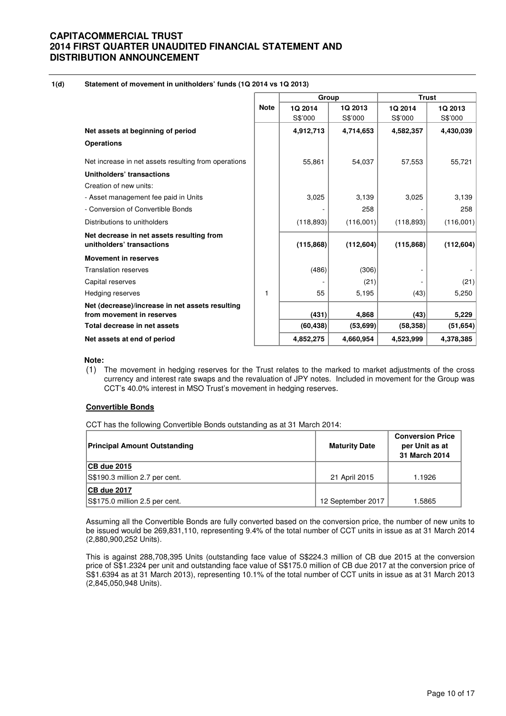### **1(d) Statement of movement in unitholders' funds (1Q 2014 vs 1Q 2013)**

|                                                                              |             | Group      |            | <b>Trust</b> |            |  |
|------------------------------------------------------------------------------|-------------|------------|------------|--------------|------------|--|
|                                                                              | <b>Note</b> | 1Q 2014    | 1Q 2013    | 1Q 2014      | 1Q 2013    |  |
|                                                                              |             | S\$'000    | S\$'000    | S\$'000      | S\$'000    |  |
| Net assets at beginning of period                                            |             | 4,912,713  | 4,714,653  | 4,582,357    | 4,430,039  |  |
| <b>Operations</b>                                                            |             |            |            |              |            |  |
| Net increase in net assets resulting from operations                         |             | 55,861     | 54,037     | 57,553       | 55,721     |  |
| Unitholders' transactions                                                    |             |            |            |              |            |  |
| Creation of new units:                                                       |             |            |            |              |            |  |
| - Asset management fee paid in Units                                         |             | 3,025      | 3,139      | 3,025        | 3,139      |  |
| - Conversion of Convertible Bonds                                            |             |            | 258        |              | 258        |  |
| Distributions to unitholders                                                 |             | (118, 893) | (116,001)  | (118, 893)   | (116,001)  |  |
| Net decrease in net assets resulting from<br>unitholders' transactions       |             | (115, 868) | (112, 604) | (115, 868)   | (112, 604) |  |
| <b>Movement in reserves</b>                                                  |             |            |            |              |            |  |
| <b>Translation reserves</b>                                                  |             | (486)      | (306)      |              |            |  |
| Capital reserves                                                             |             |            | (21)       |              | (21)       |  |
| <b>Hedging reserves</b>                                                      | 1           | 55         | 5,195      | (43)         | 5,250      |  |
| Net (decrease)/increase in net assets resulting<br>from movement in reserves |             | (431)      | 4,868      | (43)         | 5,229      |  |
| Total decrease in net assets                                                 |             | (60, 438)  | (53, 699)  | (58, 358)    | (51, 654)  |  |
| Net assets at end of period                                                  |             | 4,852,275  | 4,660,954  | 4,523,999    | 4,378,385  |  |

### **Note:**

(1) The movement in hedging reserves for the Trust relates to the marked to market adjustments of the cross currency and interest rate swaps and the revaluation of JPY notes. Included in movement for the Group was CCT's 40.0% interest in MSO Trust's movement in hedging reserves.

### **Convertible Bonds**

CCT has the following Convertible Bonds outstanding as at 31 March 2014:

| <b>Principal Amount Outstanding</b> | <b>Maturity Date</b> | <b>Conversion Price</b><br>per Unit as at<br>31 March 2014 |
|-------------------------------------|----------------------|------------------------------------------------------------|
| CB due 2015                         |                      |                                                            |
| S\$190.3 million 2.7 per cent.      | 21 April 2015        | 1.1926                                                     |
| <b>CB due 2017</b>                  |                      |                                                            |
| S\$175.0 million 2.5 per cent.      | 12 September 2017    | 1.5865                                                     |

Assuming all the Convertible Bonds are fully converted based on the conversion price, the number of new units to be issued would be 269,831,110, representing 9.4% of the total number of CCT units in issue as at 31 March 2014 (2,880,900,252 Units).

This is against 288,708,395 Units (outstanding face value of S\$224.3 million of CB due 2015 at the conversion price of S\$1.2324 per unit and outstanding face value of S\$175.0 million of CB due 2017 at the conversion price of S\$1.6394 as at 31 March 2013), representing 10.1% of the total number of CCT units in issue as at 31 March 2013 (2,845,050,948 Units).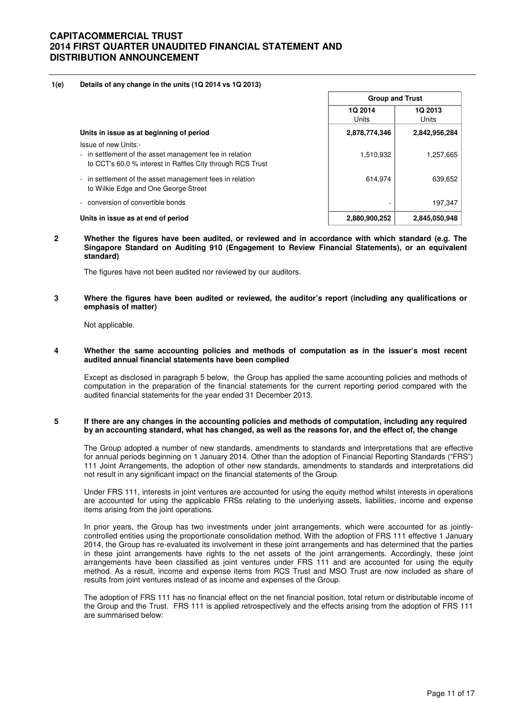#### **1(e) Details of any change in the units (1Q 2014 vs 1Q 2013)**

|                                                                                                                                               | <b>Group and Trust</b> |                        |
|-----------------------------------------------------------------------------------------------------------------------------------------------|------------------------|------------------------|
|                                                                                                                                               | 1Q 2014<br>Units       | <b>1Q2013</b><br>Units |
| Units in issue as at beginning of period                                                                                                      | 2,878,774,346          | 2,842,956,284          |
| Issue of new Units:-<br>- in settlement of the asset management fee in relation<br>to CCT's 60.0 % interest in Raffles City through RCS Trust | 1,510,932              | 1,257,665              |
| - in settlement of the asset management fees in relation<br>to Wilkie Edge and One George Street                                              | 614,974                | 639,652                |
| conversion of convertible bonds                                                                                                               |                        | 197,347                |
| Units in issue as at end of period                                                                                                            | 2,880,900,252          | 2,845,050,948          |

**2 Whether the figures have been audited, or reviewed and in accordance with which standard (e.g. The Singapore Standard on Auditing 910 (Engagement to Review Financial Statements), or an equivalent standard)** 

The figures have not been audited nor reviewed by our auditors.

#### **3 Where the figures have been audited or reviewed, the auditor's report (including any qualifications or emphasis of matter)**

Not applicable.

#### **4 Whether the same accounting policies and methods of computation as in the issuer's most recent audited annual financial statements have been complied**

Except as disclosed in paragraph 5 below, the Group has applied the same accounting policies and methods of computation in the preparation of the financial statements for the current reporting period compared with the audited financial statements for the year ended 31 December 2013.

#### **5 If there are any changes in the accounting policies and methods of computation, including any required by an accounting standard, what has changed, as well as the reasons for, and the effect of, the change**

The Group adopted a number of new standards, amendments to standards and interpretations that are effective for annual periods beginning on 1 January 2014. Other than the adoption of Financial Reporting Standards ("FRS") 111 Joint Arrangements, the adoption of other new standards, amendments to standards and interpretations did not result in any significant impact on the financial statements of the Group.

Under FRS 111, interests in joint ventures are accounted for using the equity method whilst interests in operations are accounted for using the applicable FRSs relating to the underlying assets, liabilities, income and expense items arising from the joint operations.

In prior years, the Group has two investments under joint arrangements, which were accounted for as jointlycontrolled entities using the proportionate consolidation method. With the adoption of FRS 111 effective 1 January 2014, the Group has re-evaluated its involvement in these joint arrangements and has determined that the parties in these joint arrangements have rights to the net assets of the joint arrangements. Accordingly, these joint arrangements have been classified as joint ventures under FRS 111 and are accounted for using the equity method. As a result, income and expense items from RCS Trust and MSO Trust are now included as share of results from joint ventures instead of as income and expenses of the Group.

The adoption of FRS 111 has no financial effect on the net financial position, total return or distributable income of the Group and the Trust. FRS 111 is applied retrospectively and the effects arising from the adoption of FRS 111 are summarised below: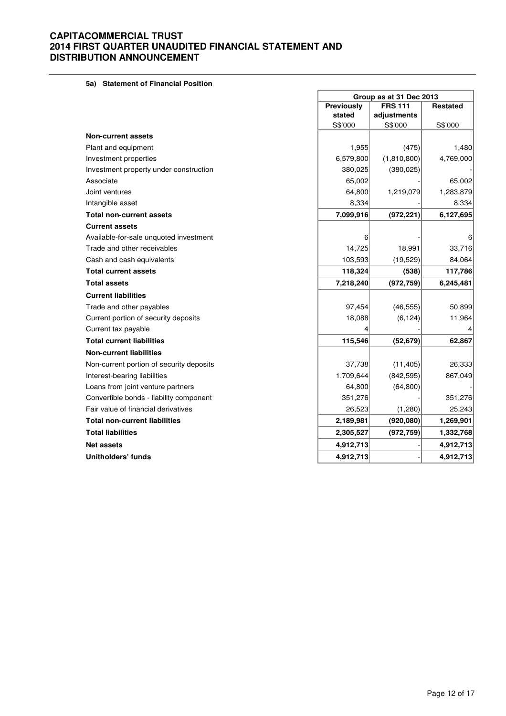**5a) Statement of Financial Position**

|                                          | Group as at 31 Dec 2013 |                |                 |  |
|------------------------------------------|-------------------------|----------------|-----------------|--|
|                                          | <b>Previously</b>       | <b>FRS 111</b> | <b>Restated</b> |  |
|                                          | stated                  | adjustments    |                 |  |
|                                          | S\$'000                 | S\$'000        | S\$'000         |  |
| <b>Non-current assets</b>                |                         |                |                 |  |
| Plant and equipment                      | 1,955                   | (475)          | 1,480           |  |
| Investment properties                    | 6,579,800               | (1,810,800)    | 4,769,000       |  |
| Investment property under construction   | 380,025                 | (380, 025)     |                 |  |
| Associate                                | 65,002                  |                | 65,002          |  |
| Joint ventures                           | 64,800                  | 1,219,079      | 1,283,879       |  |
| Intangible asset                         | 8,334                   |                | 8,334           |  |
| <b>Total non-current assets</b>          | 7,099,916               | (972, 221)     | 6,127,695       |  |
| <b>Current assets</b>                    |                         |                |                 |  |
| Available-for-sale unquoted investment   | 6                       |                | 6               |  |
| Trade and other receivables              | 14,725                  | 18,991         | 33,716          |  |
| Cash and cash equivalents                | 103,593                 | (19, 529)      | 84,064          |  |
| <b>Total current assets</b>              | 118,324                 | (538)          | 117,786         |  |
| <b>Total assets</b>                      | 7,218,240               | (972, 759)     | 6,245,481       |  |
| <b>Current liabilities</b>               |                         |                |                 |  |
| Trade and other payables                 | 97,454                  | (46, 555)      | 50,899          |  |
| Current portion of security deposits     | 18,088                  | (6, 124)       | 11,964          |  |
| Current tax payable                      |                         |                |                 |  |
| <b>Total current liabilities</b>         | 115,546                 | (52, 679)      | 62,867          |  |
| <b>Non-current liabilities</b>           |                         |                |                 |  |
| Non-current portion of security deposits | 37,738                  | (11, 405)      | 26,333          |  |
| Interest-bearing liabilities             | 1,709,644               | (842, 595)     | 867,049         |  |
| Loans from joint venture partners        | 64,800                  | (64, 800)      |                 |  |
| Convertible bonds - liability component  | 351,276                 |                | 351,276         |  |
| Fair value of financial derivatives      | 26,523                  | (1,280)        | 25,243          |  |
| <b>Total non-current liabilities</b>     | 2,189,981               | (920, 080)     | 1,269,901       |  |
| <b>Total liabilities</b>                 | 2,305,527               | (972, 759)     | 1,332,768       |  |
| <b>Net assets</b>                        | 4,912,713               |                | 4,912,713       |  |
| Unitholders' funds                       | 4,912,713               |                | 4,912,713       |  |

 $\blacksquare$ 

ä,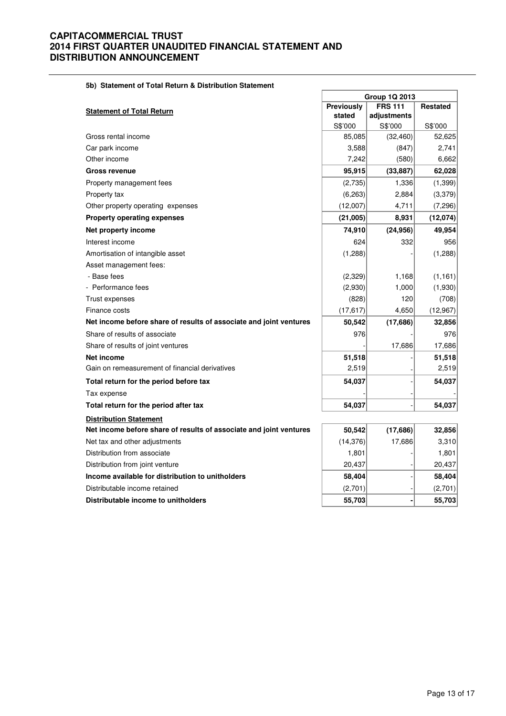### **5b) Statement of Total Return & Distribution Statement**

|                                                                    | <b>Group 1Q 2013</b> |                |                 |  |  |
|--------------------------------------------------------------------|----------------------|----------------|-----------------|--|--|
| <b>Statement of Total Return</b>                                   | Previously           | <b>FRS 111</b> | <b>Restated</b> |  |  |
|                                                                    | stated               | adjustments    |                 |  |  |
|                                                                    | S\$'000              | S\$'000        | S\$'000         |  |  |
| Gross rental income                                                | 85,085               | (32, 460)      | 52,625          |  |  |
| Car park income                                                    | 3,588                | (847)          | 2,741           |  |  |
| Other income                                                       | 7,242                | (580)          | 6,662           |  |  |
| <b>Gross revenue</b>                                               | 95,915               | (33, 887)      | 62,028          |  |  |
| Property management fees                                           | (2,735)              | 1,336          | (1, 399)        |  |  |
| Property tax                                                       | (6,263)              | 2,884          | (3,379)         |  |  |
| Other property operating expenses                                  | (12,007)             | 4,711          | (7,296)         |  |  |
| <b>Property operating expenses</b>                                 | (21,005)             | 8,931          | (12,074)        |  |  |
| Net property income                                                | 74,910               | (24, 956)      | 49,954          |  |  |
| Interest income                                                    | 624                  | 332            | 956             |  |  |
| Amortisation of intangible asset                                   | (1,288)              |                | (1,288)         |  |  |
| Asset management fees:                                             |                      |                |                 |  |  |
| - Base fees                                                        | (2,329)              | 1,168          | (1, 161)        |  |  |
| - Performance fees                                                 | (2,930)              | 1,000          | (1,930)         |  |  |
| Trust expenses                                                     | (828)                | 120            | (708)           |  |  |
| Finance costs                                                      | (17, 617)            | 4,650          | (12, 967)       |  |  |
| Net income before share of results of associate and joint ventures | 50,542               | (17,686)       | 32,856          |  |  |
| Share of results of associate                                      | 976                  |                | 976             |  |  |
| Share of results of joint ventures                                 |                      | 17,686         | 17,686          |  |  |
| Net income                                                         | 51,518               |                | 51,518          |  |  |
| Gain on remeasurement of financial derivatives                     | 2,519                |                | 2,519           |  |  |
| Total return for the period before tax                             | 54,037               |                | 54,037          |  |  |
| Tax expense                                                        |                      |                |                 |  |  |
| Total return for the period after tax                              | 54,037               |                | 54,037          |  |  |
| <b>Distribution Statement</b>                                      |                      |                |                 |  |  |
| Net income before share of results of associate and joint ventures | 50,542               | (17, 686)      | 32,856          |  |  |
| Net tax and other adjustments                                      | (14, 376)            | 17,686         | 3,310           |  |  |
| Distribution from associate                                        | 1,801                |                | 1,801           |  |  |
| Distribution from joint venture                                    | 20,437               |                | 20,437          |  |  |
| Income available for distribution to unitholders                   | 58,404               |                | 58,404          |  |  |
| Distributable income retained                                      | (2,701)              |                | (2,701)         |  |  |
| Distributable income to unitholders                                | 55,703               |                | 55,703          |  |  |

 $\overline{\phantom{0}}$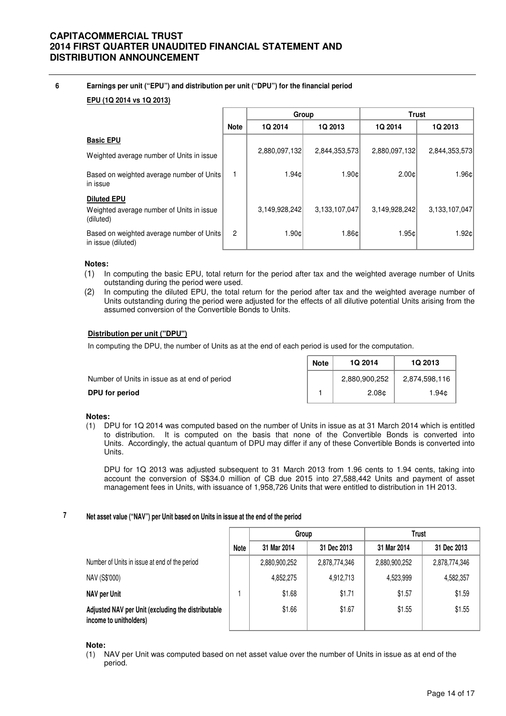**6 Earnings per unit ("EPU") and distribution per unit ("DPU") for the financial period**

# **EPU (1Q 2014 vs 1Q 2013)**

|                                                                 |                | Group         |               |               |               | <b>Trust</b> |
|-----------------------------------------------------------------|----------------|---------------|---------------|---------------|---------------|--------------|
|                                                                 | <b>Note</b>    | 1Q 2014       | 1Q 2013       | 1Q 2014       | 1Q 2013       |              |
| <b>Basic EPU</b>                                                |                |               |               |               |               |              |
| Weighted average number of Units in issue                       |                | 2,880,097,132 | 2,844,353,573 | 2,880,097,132 | 2,844,353,573 |              |
| Based on weighted average number of Units<br>in issue           |                | 1.94c         | 1.90c         | 2.00c         | 1.96c         |              |
| <b>Diluted EPU</b><br>Weighted average number of Units in issue |                | 3,149,928,242 | 3,133,107,047 | 3,149,928,242 | 3,133,107,047 |              |
| (diluted)                                                       |                |               |               |               |               |              |
| Based on weighted average number of Units<br>in issue (diluted) | $\overline{2}$ | 1.90c         | 1.86c         | 1.95c         | 1.92c         |              |

### **Notes:**

- (1) In computing the basic EPU, total return for the period after tax and the weighted average number of Units outstanding during the period were used.
- (2) In computing the diluted EPU, the total return for the period after tax and the weighted average number of Units outstanding during the period were adjusted for the effects of all dilutive potential Units arising from the assumed conversion of the Convertible Bonds to Units.

### **Distribution per unit ("DPU")**

In computing the DPU, the number of Units as at the end of each period is used for the computation.

|                                              | <b>Note</b> | <b>1Q 2014</b>    | <b>1Q 2013</b> |
|----------------------------------------------|-------------|-------------------|----------------|
| Number of Units in issue as at end of period |             | 2,880,900,252     | 2.874.598.116  |
| DPU for period                               |             | 2.08 <sub>c</sub> | l.94¢          |

### **Notes:**

(1) DPU for 1Q 2014 was computed based on the number of Units in issue as at 31 March 2014 which is entitled to distribution. It is computed on the basis that none of the Convertible Bonds is converted into Units. Accordingly, the actual quantum of DPU may differ if any of these Convertible Bonds is converted into Units.

DPU for 1Q 2013 was adjusted subsequent to 31 March 2013 from 1.96 cents to 1.94 cents, taking into account the conversion of S\$34.0 million of CB due 2015 into 27,588,442 Units and payment of asset management fees in Units, with issuance of 1,958,726 Units that were entitled to distribution in 1H 2013.

#### **7 Net asset value ("NAV") per Unit based on Units in issue at the end of the period**

|                                                                              |             | Group         |               |               |               | <b>Trust</b> |  |  |
|------------------------------------------------------------------------------|-------------|---------------|---------------|---------------|---------------|--------------|--|--|
|                                                                              | <b>Note</b> | 31 Mar 2014   | 31 Dec 2013   | 31 Mar 2014   | 31 Dec 2013   |              |  |  |
| Number of Units in issue at end of the period                                |             | 2,880,900,252 | 2,878,774,346 | 2,880,900,252 | 2,878,774,346 |              |  |  |
| NAV (S\$'000)                                                                |             | 4,852,275     | 4,912,713     | 4,523,999     | 4,582,357     |              |  |  |
| NAV per Unit                                                                 |             | \$1.68        | \$1.71        | \$1.57        | \$1.59        |              |  |  |
| Adjusted NAV per Unit (excluding the distributable<br>income to unitholders) |             | \$1.66        | \$1.67        | \$1.55        | \$1.55        |              |  |  |

**Note:**

(1) NAV per Unit was computed based on net asset value over the number of Units in issue as at end of the period.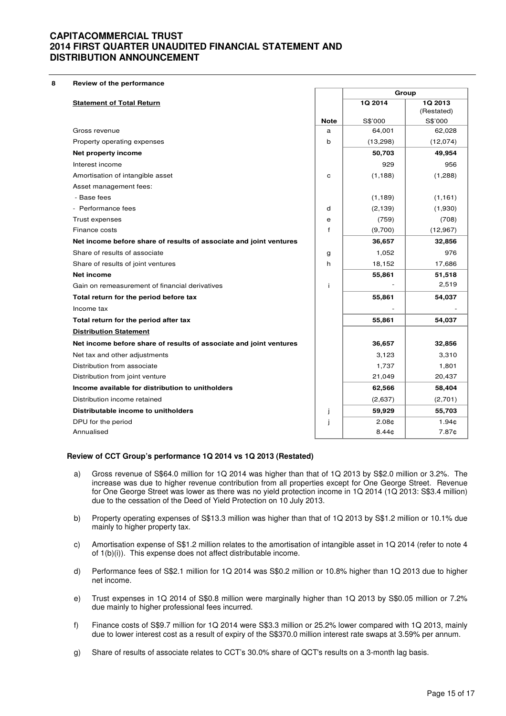**8 Review of the performance**

|                                                                    |                  | Group             |                   |
|--------------------------------------------------------------------|------------------|-------------------|-------------------|
| <b>Statement of Total Return</b>                                   |                  | 1Q 2014           | 1Q 2013           |
|                                                                    |                  |                   | (Restated)        |
| Gross revenue                                                      | <b>Note</b><br>a | S\$'000<br>64,001 | S\$'000<br>62,028 |
| Property operating expenses                                        | b                | (13,298)          | (12,074)          |
| Net property income                                                |                  | 50,703            | 49,954            |
| Interest income                                                    |                  | 929               | 956               |
|                                                                    |                  |                   |                   |
| Amortisation of intangible asset                                   | $\mathbf C$      | (1, 188)          | (1,288)           |
| Asset management fees:<br>- Base fees                              |                  |                   |                   |
|                                                                    |                  | (1, 189)          | (1, 161)          |
| - Performance fees                                                 | d                | (2, 139)          | (1,930)           |
| Trust expenses                                                     | e                | (759)             | (708)             |
| Finance costs                                                      | f                | (9,700)           | (12,967)          |
| Net income before share of results of associate and joint ventures |                  | 36,657            | 32,856            |
| Share of results of associate                                      | g                | 1,052             | 976               |
| Share of results of joint ventures                                 | h                | 18,152            | 17,686            |
| <b>Net income</b>                                                  |                  | 55,861            | 51,518            |
| Gain on remeasurement of financial derivatives                     | j.               |                   | 2,519             |
| Total return for the period before tax                             |                  | 55,861            | 54,037            |
| Income tax                                                         |                  |                   |                   |
| Total return for the period after tax                              |                  | 55,861            | 54,037            |
| <b>Distribution Statement</b>                                      |                  |                   |                   |
| Net income before share of results of associate and joint ventures |                  | 36,657            | 32,856            |
| Net tax and other adjustments                                      |                  | 3,123             | 3,310             |
| Distribution from associate                                        |                  | 1,737             | 1,801             |
| Distribution from joint venture                                    |                  | 21,049            | 20,437            |
| Income available for distribution to unitholders                   |                  | 62,566            | 58,404            |
| Distribution income retained                                       |                  | (2,637)           | (2,701)           |
| Distributable income to unitholders                                | j                | 59,929            | 55,703            |
| DPU for the period                                                 | j                | 2.08 <sub>¢</sub> | 1.94¢             |
| Annualised                                                         |                  | 8.44 <sub>0</sub> | 7.87¢             |

### **Review of CCT Group's performance 1Q 2014 vs 1Q 2013 (Restated)**

- a) Gross revenue of S\$64.0 million for 1Q 2014 was higher than that of 1Q 2013 by S\$2.0 million or 3.2%. The increase was due to higher revenue contribution from all properties except for One George Street. Revenue for One George Street was lower as there was no yield protection income in 1Q 2014 (1Q 2013: S\$3.4 million) due to the cessation of the Deed of Yield Protection on 10 July 2013.
- b) Property operating expenses of S\$13.3 million was higher than that of 1Q 2013 by S\$1.2 million or 10.1% due mainly to higher property tax.
- c) Amortisation expense of S\$1.2 million relates to the amortisation of intangible asset in 1Q 2014 (refer to note 4 of 1(b)(i)). This expense does not affect distributable income.
- d) Performance fees of S\$2.1 million for 1Q 2014 was S\$0.2 million or 10.8% higher than 1Q 2013 due to higher net income.
- e) Trust expenses in 1Q 2014 of S\$0.8 million were marginally higher than 1Q 2013 by S\$0.05 million or 7.2% due mainly to higher professional fees incurred.
- f) Finance costs of S\$9.7 million for 1Q 2014 were S\$3.3 million or 25.2% lower compared with 1Q 2013, mainly due to lower interest cost as a result of expiry of the S\$370.0 million interest rate swaps at 3.59% per annum.
- g) Share of results of associate relates to CCT's 30.0% share of QCT's results on a 3-month lag basis.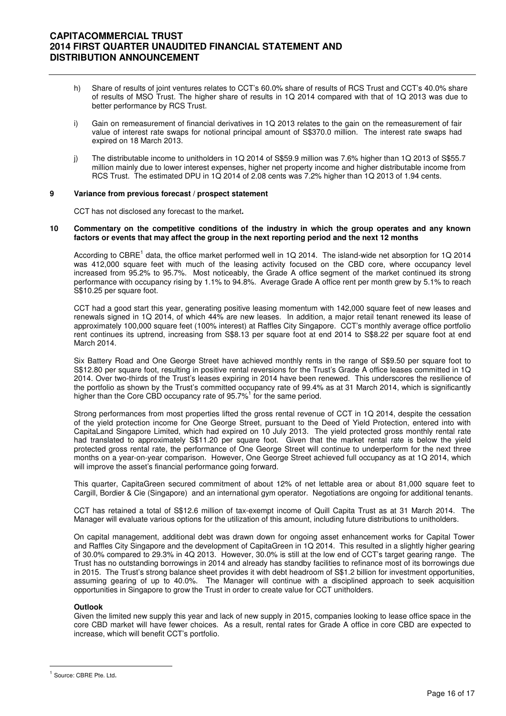- h) Share of results of joint ventures relates to CCT's 60.0% share of results of RCS Trust and CCT's 40.0% share of results of MSO Trust. The higher share of results in 1Q 2014 compared with that of 1Q 2013 was due to better performance by RCS Trust.
- i) Gain on remeasurement of financial derivatives in 1Q 2013 relates to the gain on the remeasurement of fair value of interest rate swaps for notional principal amount of S\$370.0 million. The interest rate swaps had expired on 18 March 2013.
- j) The distributable income to unitholders in 1Q 2014 of S\$59.9 million was 7.6% higher than 1Q 2013 of S\$55.7 million mainly due to lower interest expenses, higher net property income and higher distributable income from RCS Trust. The estimated DPU in 1Q 2014 of 2.08 cents was 7.2% higher than 1Q 2013 of 1.94 cents.

### **9 Variance from previous forecast / prospect statement**

CCT has not disclosed any forecast to the market**.** 

#### **10 Commentary on the competitive conditions of the industry in which the group operates and any known factors or events that may affect the group in the next reporting period and the next 12 months**

According to CBRE<sup>1</sup> data, the office market performed well in 1Q 2014. The island-wide net absorption for 1Q 2014 was 412,000 square feet with much of the leasing activity focused on the CBD core, where occupancy level increased from 95.2% to 95.7%. Most noticeably, the Grade A office segment of the market continued its strong performance with occupancy rising by 1.1% to 94.8%. Average Grade A office rent per month grew by 5.1% to reach S\$10.25 per square foot.

CCT had a good start this year, generating positive leasing momentum with 142,000 square feet of new leases and renewals signed in 1Q 2014, of which 44% are new leases. In addition, a major retail tenant renewed its lease of approximately 100,000 square feet (100% interest) at Raffles City Singapore. CCT's monthly average office portfolio rent continues its uptrend, increasing from S\$8.13 per square foot at end 2014 to S\$8.22 per square foot at end March 2014.

Six Battery Road and One George Street have achieved monthly rents in the range of S\$9.50 per square foot to S\$12.80 per square foot, resulting in positive rental reversions for the Trust's Grade A office leases committed in 1Q 2014. Over two-thirds of the Trust's leases expiring in 2014 have been renewed. This underscores the resilience of the portfolio as shown by the Trust's committed occupancy rate of 99.4% as at 31 March 2014, which is significantly higher than the Core CBD occupancy rate of 95.7%<sup>1</sup> for the same period.

Strong performances from most properties lifted the gross rental revenue of CCT in 1Q 2014, despite the cessation of the yield protection income for One George Street, pursuant to the Deed of Yield Protection, entered into with CapitaLand Singapore Limited, which had expired on 10 July 2013. The yield protected gross monthly rental rate had translated to approximately S\$11.20 per square foot. Given that the market rental rate is below the yield protected gross rental rate, the performance of One George Street will continue to underperform for the next three months on a year-on-year comparison. However, One George Street achieved full occupancy as at 1Q 2014, which will improve the asset's financial performance going forward.

This quarter, CapitaGreen secured commitment of about 12% of net lettable area or about 81,000 square feet to Cargill, Bordier & Cie (Singapore) and an international gym operator. Negotiations are ongoing for additional tenants.

CCT has retained a total of S\$12.6 million of tax-exempt income of Quill Capita Trust as at 31 March 2014. The Manager will evaluate various options for the utilization of this amount, including future distributions to unitholders.

On capital management, additional debt was drawn down for ongoing asset enhancement works for Capital Tower and Raffles City Singapore and the development of CapitaGreen in 1Q 2014. This resulted in a slightly higher gearing of 30.0% compared to 29.3% in 4Q 2013. However, 30.0% is still at the low end of CCT's target gearing range. The Trust has no outstanding borrowings in 2014 and already has standby facilities to refinance most of its borrowings due in 2015. The Trust's strong balance sheet provides it with debt headroom of S\$1.2 billion for investment opportunities, assuming gearing of up to 40.0%. The Manager will continue with a disciplined approach to seek acquisition opportunities in Singapore to grow the Trust in order to create value for CCT unitholders.

### **Outlook**

Given the limited new supply this year and lack of new supply in 2015, companies looking to lease office space in the core CBD market will have fewer choices. As a result, rental rates for Grade A office in core CBD are expected to increase, which will benefit CCT's portfolio.

 $\overline{a}$ 

<sup>&</sup>lt;sup>1</sup> Source: CBRE Pte. Ltd.